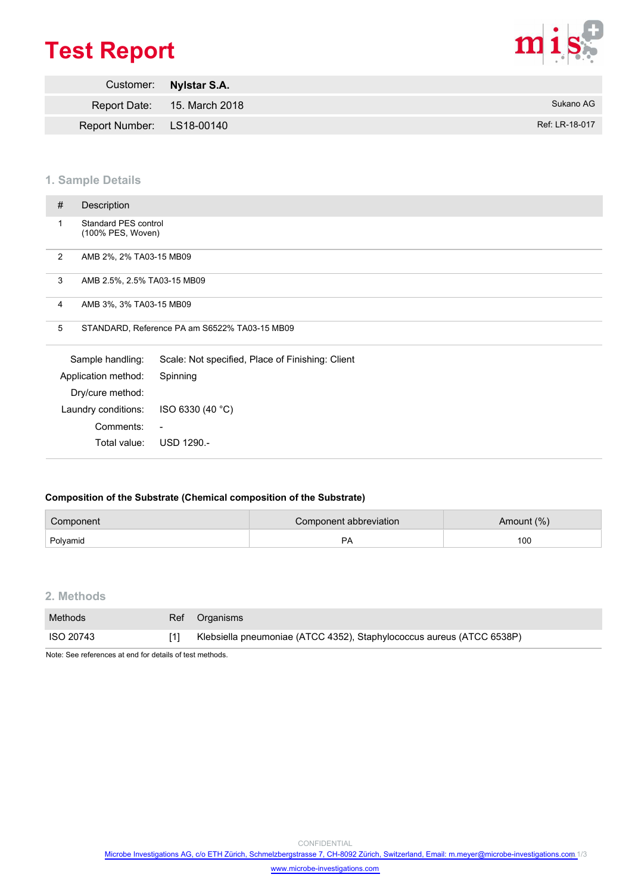# **Test Report**



|                           | Customer: Nylstar S.A.      |                |
|---------------------------|-----------------------------|----------------|
|                           | Report Date: 15. March 2018 | Sukano AG      |
| Report Number: LS18-00140 |                             | Ref: LR-18-017 |

## **1. Sample Details**

|   | Total value:                                   | USD 1290.-                                       |
|---|------------------------------------------------|--------------------------------------------------|
|   | Comments:                                      | $\blacksquare$                                   |
|   | Laundry conditions:                            | ISO 6330 (40 °C)                                 |
|   | Dry/cure method:                               |                                                  |
|   | Application method:                            | Spinning                                         |
|   | Sample handling:                               | Scale: Not specified, Place of Finishing: Client |
|   | 5                                              | STANDARD, Reference PA am S6522% TA03-15 MB09    |
|   | 4<br>AMB 3%, 3% TA03-15 MB09                   |                                                  |
| 3 | AMB 2.5%, 2.5% TA03-15 MB09                    |                                                  |
| 2 | AMB 2%, 2% TA03-15 MB09                        |                                                  |
|   | Standard PES control<br>1<br>(100% PES, Woven) |                                                  |
| # | Description                                    |                                                  |
|   |                                                |                                                  |

## **Composition of the Substrate (Chemical composition of the Substrate)**

| Component | Component abbreviation | Amount (%) |  |  |
|-----------|------------------------|------------|--|--|
| Polvamid  | ^ פ                    | 100        |  |  |

# **2. Methods**

| Methods   | Ref Organisms                                                         |
|-----------|-----------------------------------------------------------------------|
| ISO 20743 | Klebsiella pneumoniae (ATCC 4352), Staphylococcus aureus (ATCC 6538P) |

Note: See references at end for details of test methods.

CONFIDENTIAL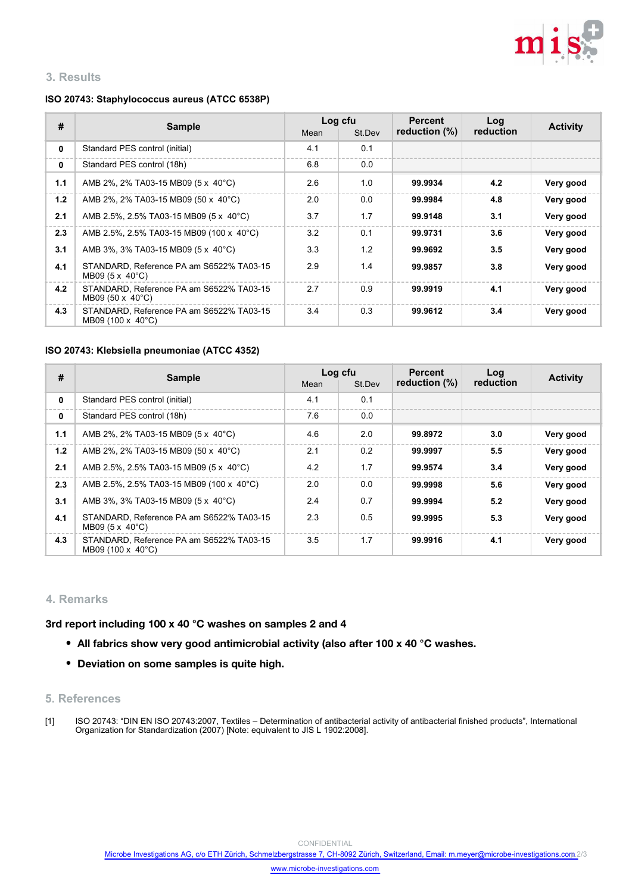

# **3. Results**

## **ISO 20743: Staphylococcus aureus (ATCC 6538P)**

| #   | <b>Sample</b>                                                              | Mean | Log cfu<br>St.Dev | <b>Percent</b><br>reduction $(\%)$ | Log<br>reduction | <b>Activity</b> |
|-----|----------------------------------------------------------------------------|------|-------------------|------------------------------------|------------------|-----------------|
| 0   | Standard PES control (initial)                                             | 4.1  | 0.1               |                                    |                  |                 |
| 0   | Standard PES control (18h)                                                 | 6.8  | 0.0               |                                    |                  |                 |
| 1.1 | AMB 2%, 2% TA03-15 MB09 (5 x 40°C)                                         | 2.6  | 1.0               | 99.9934                            | 4.2              | Very good       |
| 1.2 | AMB 2%, 2% TA03-15 MB09 (50 x 40°C)                                        | 2.0  | 0.0               | 99.9984                            | 4.8              | Very good       |
| 2.1 | AMB 2.5%, 2.5% TA03-15 MB09 (5 x 40°C)                                     | 3.7  | 1.7               | 99.9148                            | 3.1              | Very good       |
| 2.3 | AMB 2.5%, 2.5% TA03-15 MB09 (100 x 40°C)                                   | 3.2  | 0.1               | 99.9731                            | 3.6              | Very good       |
| 3.1 | AMB 3%, 3% TA03-15 MB09 (5 x 40°C)                                         | 3.3  | 1.2               | 99.9692                            | 3.5              | Very good       |
| 4.1 | STANDARD. Reference PA am S6522% TA03-15<br>MB09 $(5 \times 40^{\circ}C)$  | 2.9  | 1.4               | 99.9857                            | 3.8              | Very good       |
| 4.2 | STANDARD. Reference PA am S6522% TA03-15<br>MB09 $(50 \times 40^{\circ}C)$ | 2.7  | 0.9               | 99.9919                            | 4.1              | Very good       |
| 4.3 | STANDARD. Reference PA am S6522% TA03-15<br>MB09 (100 x 40°C)              | 3.4  | 0.3               | 99.9612                            | 3.4              | Very good       |

#### **ISO 20743: Klebsiella pneumoniae (ATCC 4352)**

| #   | <b>Sample</b>                                                             | Log cfu |               | <b>Percent</b> | Log       |                 |
|-----|---------------------------------------------------------------------------|---------|---------------|----------------|-----------|-----------------|
|     |                                                                           | Mean    | St.Dev        | reduction (%)  | reduction | <b>Activity</b> |
| 0   | Standard PES control (initial)                                            | 4.1     | 0.1           |                |           |                 |
| 0   | Standard PES control (18h)                                                | 7.6     | 0.0           |                |           |                 |
| 1.1 | AMB 2%, 2% TA03-15 MB09 (5 x 40°C)                                        | 4.6     | 2.0           | 99.8972        | 3.0       | Very good       |
| 1.2 | AMB 2%, 2% TA03-15 MB09 (50 x 40°C)                                       | 2.1     | 0.2           | 99.9997        | 5.5       | Very good       |
| 2.1 | AMB 2.5%, 2.5% TA03-15 MB09 (5 x 40°C)                                    | 4.2     | 1.7           | 99.9574        | 3.4       | Very good       |
| 2.3 | AMB 2.5%, 2.5% TA03-15 MB09 (100 x 40°C)                                  | 2.0     | 0.0           | 99.9998        | 5.6       | Very good       |
| 3.1 | AMB 3%, 3% TA03-15 MB09 (5 x 40°C)                                        | 2.4     | 0.7           | 99.9994        | 5.2       | Very good       |
| 4.1 | STANDARD. Reference PA am S6522% TA03-15<br>MB09 $(5 \times 40^{\circ}C)$ | 2.3     | $0.5^{\circ}$ | 99.9995        | 5.3       | Very good       |
| 4.3 | STANDARD, Reference PA am S6522% TA03-15<br>MB09 (100 x 40°C)             | 3.5     | 1.7           | 99.9916        | 4.1       | Very good       |

## **4. Remarks**

**3rd report including 100 x 40 °C washes on samples 2 and 4**

- **All fabrics show very good antimicrobial activity (also after 100 x 40 °C washes.**
- **Deviation on some samples is quite high.**

## **5. References**

ISO 20743: "DIN EN ISO 20743:2007, Textiles – Determination of antibacterial activity of antibacterial finished products", International Organization for Standardization (2007) [Note: equivalent to JIS L 1902:2008]. [1]